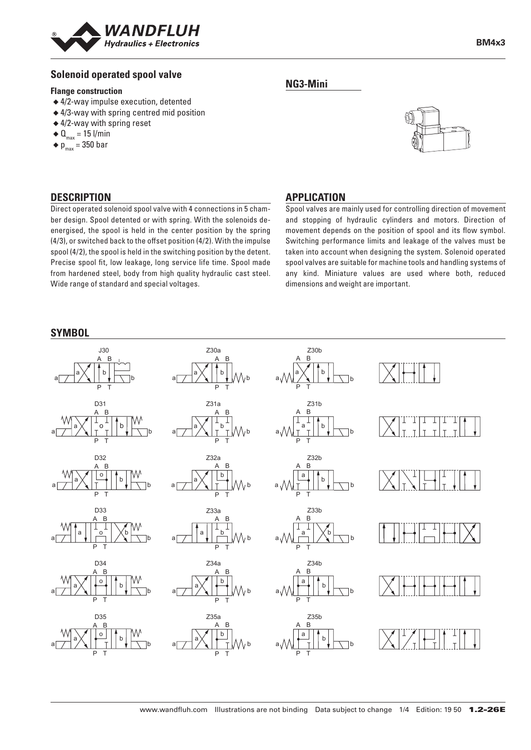

### **Solenoid operated spool valve**

#### **Flange construction**

- ◆ 4/2-way impulse execution, detented
- ◆ 4/3-way with spring centred mid position
- ◆ 4/2-way with spring reset
- $\triangleleft$  Q<sub>max</sub> = 15 l/min
- $\bullet$  p<sub>max</sub> = 350 bar

## **DESCRIPTION APPLICATION**

Direct operated solenoid spool valve with 4 connections in 5 chamber design. Spool detented or with spring. With the solenoids deenergised, the spool is held in the center position by the spring (4/3), or switched back to the offset position (4/2). With the impulse spool (4/2), the spool is held in the switching position by the detent. Precise spool fit, low leakage, long service life time. Spool made from hardened steel, body from high quality hydraulic cast steel. Wide range of standard and special voltages.

## **NG3-Mini**



Spool valves are mainly used for controlling direction of movement and stopping of hydraulic cylinders and motors. Direction of movement depends on the position of spool and its flow symbol. Switching performance limits and leakage of the valves must be taken into account when designing the system. Solenoid operated spool valves are suitable for machine tools and handling systems of any kind. Miniature values are used where both, reduced dimensions and weight are important.

#### **SYMBOL**

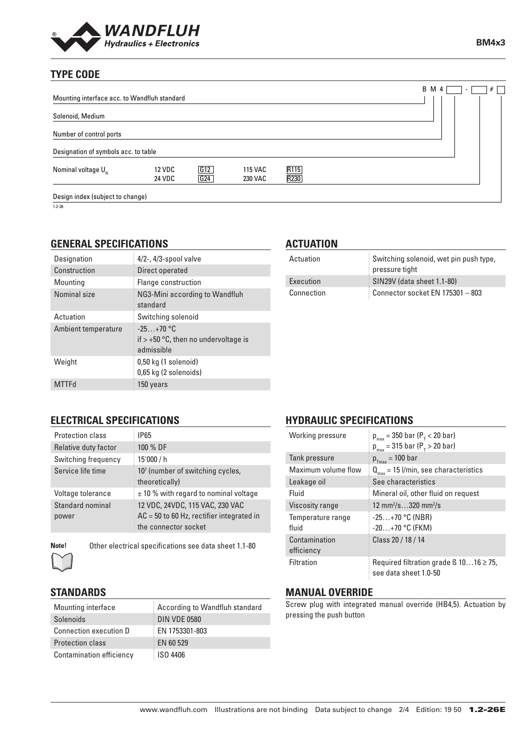

# **TYPE CODE**

|                                      |                                              |            |                                  |                                       |  |  | <b>B</b> M 4 |  | $\overline{\phantom{a}}$ | # |
|--------------------------------------|----------------------------------------------|------------|----------------------------------|---------------------------------------|--|--|--------------|--|--------------------------|---|
|                                      | Mounting interface acc. to Wandfluh standard |            |                                  |                                       |  |  |              |  |                          |   |
| Solenoid, Medium                     |                                              |            |                                  |                                       |  |  |              |  |                          |   |
| Number of control ports              |                                              |            |                                  |                                       |  |  |              |  |                          |   |
| Designation of symbols acc. to table |                                              |            |                                  |                                       |  |  |              |  |                          |   |
| Nominal voltage $U_{N}$              | 12 VDC<br><b>24 VDC</b>                      | G12<br>G24 | <b>115 VAC</b><br><b>230 VAC</b> | R <sub>115</sub><br>$\overline{R230}$ |  |  |              |  |                          |   |
| Design index (subject to change)     |                                              |            |                                  |                                       |  |  |              |  |                          |   |

1.2-26

# **GENERAL SPECIFICATIONS**

| Designation         | $4/2$ -, $4/3$ -spool valve                                         |
|---------------------|---------------------------------------------------------------------|
| Construction        | Direct operated                                                     |
| Mounting            | Flange construction                                                 |
| Nominal size        | NG3-Mini according to Wandfluh<br>standard                          |
| Actuation           | Switching solenoid                                                  |
| Ambient temperature | $-25+70$ °C<br>if $> +50$ °C, then no undervoltage is<br>admissible |
| Weight              | 0,50 kg (1 solenoid)<br>0,65 kg (2 solenoids)                       |
| <b>MTTFd</b>        | 150 years                                                           |

## **ACTUATION**

| Actuation  | Switching solenoid, wet pin push type,<br>pressure tight |
|------------|----------------------------------------------------------|
| Execution  | SIN29V (data sheet 1.1-80)                               |
| Connection | Connector socket EN 175301 - 803                         |

# **ELECTRICAL SPECIFICATIONS**

| Protection class          | IP65                                                                                                   |
|---------------------------|--------------------------------------------------------------------------------------------------------|
| Relative duty factor      | 100 % DF                                                                                               |
| Switching frequency       | 15'000 / h                                                                                             |
| Service life time         | 10 <sup>7</sup> (number of switching cycles,<br>theoretically)                                         |
| Voltage tolerance         | $\pm$ 10 % with regard to nominal voltage                                                              |
| Standard nominal<br>power | 12 VDC, 24VDC, 115 VAC, 230 VAC<br>$AC = 50$ to 60 Hz, rectifier integrated in<br>the connector socket |

**Note!** Other electrical specifications see data sheet 1.1-80

## **STANDARDS**

| Mounting interface            | According to Wandfluh standard |
|-------------------------------|--------------------------------|
| Solenoids                     | <b>DIN VDE 0580</b>            |
| <b>Connection execution D</b> | EN 1753301-803                 |
| <b>Protection class</b>       | EN 60 529                      |
| Contamination efficiency      | <b>ISO 4406</b>                |

# **HYDRAULIC SPECIFICATIONS**

| Working pressure            | $p_{max}$ = 350 bar ( $P_{\tau}$ < 20 bar)<br>$p_{max}$ = 315 bar ( $P_{T}$ > 20 bar) |
|-----------------------------|---------------------------------------------------------------------------------------|
| Tank pressure               | $p_{Tmax}$ = 100 bar                                                                  |
| Maximum volume flow         | $Q_{\text{max}} = 15$ l/min, see characteristics                                      |
| Leakage oil                 | See characteristics                                                                   |
| Fluid                       | Mineral oil, other fluid on request                                                   |
| Viscosity range             | 12 mm <sup>2</sup> /s320 mm <sup>2</sup> /s                                           |
| Temperature range<br>fluid  | $-25+70$ °C (NBR)<br>$-20+70$ °C (FKM)                                                |
| Contamination<br>efficiency | Class 20 / 18 / 14                                                                    |
| Filtration                  | Required filtration grade $\beta$ 1016 $\geq$ 75,<br>see data sheet 1.0-50            |

## **MANUAL OVERRIDE**

Screw plug with integrated manual override (HB4,5). Actuation by pressing the push button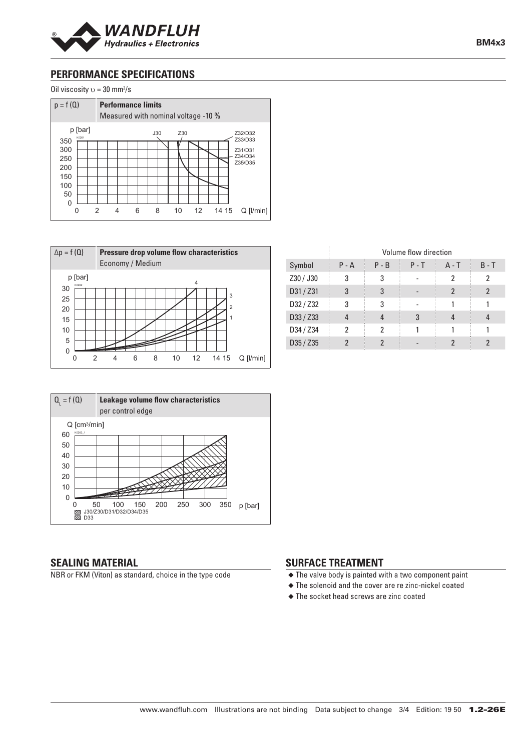

**BM4x3**

# **PERFORMANCE SPECIFICATIONS**

Oil viscosity  $v = 30$  mm<sup>2</sup>/s







|           | Volume flow direction |         |         |                |         |
|-----------|-----------------------|---------|---------|----------------|---------|
| Symbol    | $P - A$               | $P - B$ | $P - T$ | $A - T$        | $B - T$ |
| Z30 / J30 | 3                     | 3       |         | 2              | 2       |
| D31 / Z31 | 3                     | 3       |         | $\mathfrak{p}$ | 2       |
| D32 / Z32 | 3                     | 3       |         |                |         |
| D33 / Z33 |                       |         | 3       |                |         |
| D34 / Z34 | 2                     | 2       |         |                |         |
| D35 / Z35 |                       |         |         |                |         |

# 50 40 30 20 10 0 0 50 100 150 200 250 300 350 p [bar]<br>|@ J30/Z30/D31/D32/D34/D35<br>|SSI D33

#### **SEALING MATERIAL**

 $Q_i = f(Q)$ 

60

K0263\_1

NBR or FKM (Viton) as standard, choice in the type code

#### **SURFACE TREATMENT**

 $\frac{1}{3}$ 

- ◆ The valve body is painted with a two component paint
- ◆ The solenoid and the cover are re zinc-nickel coated
- ◆ The socket head screws are zinc coated